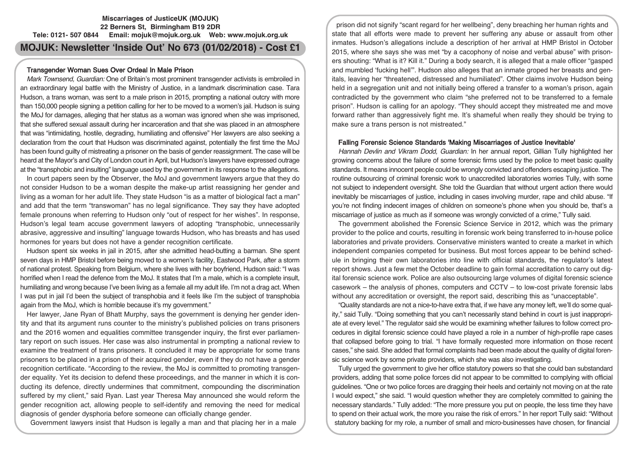# **Miscarriages of JusticeUK (MOJUK) 22 Berners St, Birmingham B19 2DR Tele: 0121- 507 0844 Email: mojuk@mojuk.org.uk Web: www.mojuk.org.uk**

# **MOJUK: Newsletter 'Inside Out' No 673 (01/02/2018) - Cost £1**

## Transgender Woman Sues Over Ordeal In Male Prison

Mark Townsend, Guardian: One of Britain's most prominent transgender activists is embroiled in an extraordinary legal battle with the Ministry of Justice, in a landmark discrimination case. Tara Hudson, a trans woman, was sent to a male prison in 2015, prompting a national outcry with more than 150,000 people signing a petition calling for her to be moved to a women's jail. Hudson is suing the MoJ for damages, alleging that her status as a woman was ignored when she was imprisoned, that she suffered sexual assault during her incarceration and that she was placed in an atmosphere that was "intimidating, hostile, degrading, humiliating and offensive" Her lawyers are also seeking a declaration from the court that Hudson was discriminated against, potentially the first time the MoJ has been found guilty of mistreating a prisoner on the basis of gender reassignment. The case will be heard at the Mayor's and City of London court in April, but Hudson's lawyers have expressed outrage at the "transphobic and insulting" language used by the government in its response to the allegations.

In court papers seen by the Observer, the MoJ and government lawyers argue that they do not consider Hudson to be a woman despite the make-up artist reassigning her gender and living as a woman for her adult life. They state Hudson "is as a matter of biological fact a man" and add that the term "transwoman" has no legal significance. They say they have adopted female pronouns when referring to Hudson only "out of respect for her wishes". In response, Hudson's legal team accuse government lawyers of adopting "transphobic, unnecessarily abrasive, aggressive and insulting" language towards Hudson, who has breasts and has used hormones for years but does not have a gender recognition certificate.

Hudson spent six weeks in jail in 2015, after she admitted head-butting a barman. She spent seven days in HMP Bristol before being moved to a women's facility, Eastwood Park, after a storm of national protest. Speaking from Belgium, where she lives with her boyfriend, Hudson said: "I was horrified when I read the defence from the MoJ. It states that I'm a male, which is a complete insult, humiliating and wrong because I've been living as a female all my adult life. I'm not a drag act. When I was put in jail I'd been the subject of transphobia and it feels like I'm the subject of transphobia again from the MoJ, which is horrible because it's my government."

Her lawyer, Jane Ryan of Bhatt Murphy, says the government is denying her gender identity and that its argument runs counter to the ministry's published policies on trans prisoners and the 2016 women and equalities committee transgender inquiry, the first ever parliamentary report on such issues. Her case was also instrumental in prompting a national review to examine the treatment of trans prisoners. It concluded it may be appropriate for some trans prisoners to be placed in a prison of their acquired gender, even if they do not have a gender recognition certificate. "According to the review, the MoJ is committed to promoting transgender equality. Yet its decision to defend these proceedings, and the manner in which it is conducting its defence, directly undermines that commitment, compounding the discrimination suffered by my client," said Ryan. Last year Theresa May announced she would reform the gender recognition act, allowing people to self-identify and removing the need for medical diagnosis of gender dysphoria before someone can officially change gender.

Government lawyers insist that Hudson is legally a man and that placing her in a male

prison did not signify "scant regard for her wellbeing", deny breaching her human rights and state that all efforts were made to prevent her suffering any abuse or assault from other inmates. Hudson's allegations include a description of her arrival at HMP Bristol in October 2015, where she says she was met "by a cacophony of noise and verbal abuse" with prisoners shouting: "What is it? Kill it." During a body search, it is alleged that a male officer "gasped and mumbled 'fucking hell'". Hudson also alleges that an inmate groped her breasts and genitals, leaving her "threatened, distressed and humiliated". Other claims involve Hudson being held in a segregation unit and not initially being offered a transfer to a woman's prison, again contradicted by the government who claim "she preferred not to be transferred to a female prison". Hudson is calling for an apology. "They should accept they mistreated me and move forward rather than aggressively fight me. It's shameful when really they should be trying to make sure a trans person is not mistreated."

## Falling Forensic Science Standards 'Making Miscarriages of Justice Inevitable'

Hannah Devlin and Vikram Dodd, Guardian: In her annual report, Gillian Tully highlighted her growing concerns about the failure of some forensic firms used by the police to meet basic quality standards. It means innocent people could be wrongly convicted and offenders escaping justice. The routine outsourcing of criminal forensic work to unaccredited laboratories worries Tully, with some not subject to independent oversight. She told the Guardian that without urgent action there would inevitably be miscarriages of justice, including in cases involving murder, rape and child abuse. "If you're not finding indecent images of children on someone's phone when you should be, that's a miscarriage of justice as much as if someone was wrongly convicted of a crime," Tully said.

The government abolished the Forensic Science Service in 2012, which was the primary provider to the police and courts, resulting in forensic work being transferred to in-house police laboratories and private providers. Conservative ministers wanted to create a market in which independent companies competed for business. But most forces appear to be behind schedule in bringing their own laboratories into line with official standards, the regulator's latest report shows. Just a few met the October deadline to gain formal accreditation to carry out digital forensic science work. Police are also outsourcing large volumes of digital forensic science casework – the analysis of phones, computers and CCTV – to low-cost private forensic labs without any accreditation or oversight, the report said, describing this as "unacceptable".

"Quality standards are not a nice-to-have extra that, if we have any money left, we'll do some quality," said Tully. "Doing something that you can't necessarily stand behind in court is just inappropriate at every level." The regulator said she would be examining whether failures to follow correct procedures in digital forensic science could have played a role in a number of high-profile rape cases that collapsed before going to trial. "I have formally requested more information on those recent cases," she said. She added that formal complaints had been made about the quality of digital forensic science work by some private providers, which she was also investigating.

Tully urged the government to give her office statutory powers so that she could ban substandard providers, adding that some police forces did not appear to be committed to complying with official guidelines. "One or two police forces are dragging their heels and certainly not moving on at the rate I would expect," she said. "I would question whether they are completely committed to gaining the necessary standards." Tully added: "The more pressure you put on people, the less time they have to spend on their actual work, the more you raise the risk of errors." In her report Tully said: "Without statutory backing for my role, a number of small and micro-businesses have chosen, for financial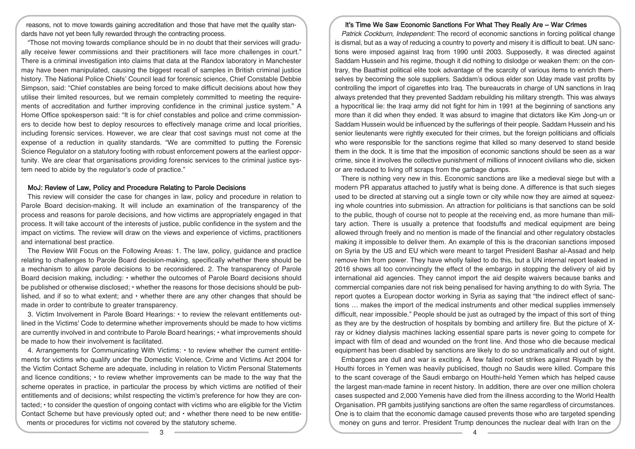reasons, not to move towards gaining accreditation and those that have met the quality standards have not yet been fully rewarded through the contracting process.

"Those not moving towards compliance should be in no doubt that their services will gradually receive fewer commissions and their practitioners will face more challenges in court." There is a criminal investigation into claims that data at the Randox laboratory in Manchester may have been manipulated, causing the biggest recall of samples in British criminal justice history. The National Police Chiefs' Council lead for forensic science, Chief Constable Debbie Simpson, said: "Chief constables are being forced to make difficult decisions about how they utilise their limited resources, but we remain completely committed to meeting the requirements of accreditation and further improving confidence in the criminal justice system." A Home Office spokesperson said: "It is for chief constables and police and crime commissioners to decide how best to deploy resources to effectively manage crime and local priorities, including forensic services. However, we are clear that cost savings must not come at the expense of a reduction in quality standards. "We are committed to putting the Forensic Science Regulator on a statutory footing with robust enforcement powers at the earliest opportunity. We are clear that organisations providing forensic services to the criminal justice system need to abide by the regulator's code of practice."

#### MoJ: Review of Law, Policy and Procedure Relating to Parole Decisions

This review will consider the case for changes in law, policy and procedure in relation to Parole Board decision-making. It will include an examination of the transparency of the process and reasons for parole decisions, and how victims are appropriately engaged in that process. It will take account of the interests of justice, public confidence in the system and the impact on victims. The review will draw on the views and experience of victims, practitioners and international best practice.

The Review Will Focus on the Following Areas: 1. The law, policy, guidance and practice relating to challenges to Parole Board decision-making, specifically whether there should be a mechanism to allow parole decisions to be reconsidered. 2. The transparency of Parole Board decision making, including: • whether the outcomes of Parole Board decisions should be published or otherwise disclosed; • whether the reasons for those decisions should be published, and if so to what extent; and  $\cdot$  whether there are any other changes that should be made in order to contribute to greater transparency.

3. Victim Involvement in Parole Board Hearings: • to review the relevant entitlements outlined in the Victims' Code to determine whether improvements should be made to how victims are currently involved in and contribute to Parole Board hearings; • what improvements should be made to how their involvement is facilitated.

4. Arrangements for Communicating With Victims: • to review whether the current entitlements for victims who qualify under the Domestic Violence, Crime and Victims Act 2004 for the Victim Contact Scheme are adequate, including in relation to Victim Personal Statements and licence conditions; • to review whether improvements can be made to the way that the scheme operates in practice, in particular the process by which victims are notified of their entitlements and of decisions; whilst respecting the victim's preference for how they are contacted; • to consider the question of ongoing contact with victims who are eligible for the Victim Contact Scheme but have previously opted out; and • whether there need to be new entitlements or procedures for victims not covered by the statutory scheme.

#### It's Time We Saw Economic Sanctions For What They Really Are – War Crimes

Patrick Cockburn, Independent: The record of economic sanctions in forcing political change is dismal, but as a way of reducing a country to poverty and misery it is difficult to beat. UN sanctions were imposed against Iraq from 1990 until 2003. Supposedly, it was directed against Saddam Hussein and his regime, though it did nothing to dislodge or weaken them: on the contrary, the Baathist political elite took advantage of the scarcity of various items to enrich themselves by becoming the sole suppliers. Saddam's odious elder son Uday made vast profits by controlling the import of cigarettes into Iraq. The bureaucrats in charge of UN sanctions in Iraq always pretended that they prevented Saddam rebuilding his military strength. This was always a hypocritical lie: the Iraqi army did not fight for him in 1991 at the beginning of sanctions any more than it did when they ended. It was absurd to imagine that dictators like Kim Jong-un or Saddam Hussein would be influenced by the sufferings of their people. Saddam Hussein and his senior lieutenants were rightly executed for their crimes, but the foreign politicians and officials who were responsible for the sanctions regime that killed so many deserved to stand beside them in the dock. It is time that the imposition of economic sanctions should be seen as a war crime, since it involves the collective punishment of millions of innocent civilians who die, sicken or are reduced to living off scraps from the garbage dumps.

There is nothing very new in this. Economic sanctions are like a medieval siege but with a modern PR apparatus attached to justify what is being done. A difference is that such sieges used to be directed at starving out a single town or city while now they are aimed at squeezing whole countries into submission. An attraction for politicians is that sanctions can be sold to the public, though of course not to people at the receiving end, as more humane than military action. There is usually a pretence that foodstuffs and medical equipment are being allowed through freely and no mention is made of the financial and other regulatory obstacles making it impossible to deliver them. An example of this is the draconian sanctions imposed on Syria by the US and EU which were meant to target President Bashar al-Assad and help remove him from power. They have wholly failed to do this, but a UN internal report leaked in 2016 shows all too convincingly the effect of the embargo in stopping the delivery of aid by international aid agencies. They cannot import the aid despite waivers because banks and commercial companies dare not risk being penalised for having anything to do with Syria. The report quotes a European doctor working in Syria as saying that "the indirect effect of sanctions … makes the import of the medical instruments and other medical supplies immensely difficult, near impossible." People should be just as outraged by the impact of this sort of thing as they are by the destruction of hospitals by bombing and artillery fire. But the picture of Xray or kidney dialysis machines lacking essential spare parts is never going to compete for impact with film of dead and wounded on the front line. And those who die because medical equipment has been disabled by sanctions are likely to do so undramatically and out of sight.

Embargoes are dull and war is exciting. A few failed rocket strikes against Riyadh by the Houthi forces in Yemen was heavily publicised, though no Saudis were killed. Compare this to the scant coverage of the Saudi embargo on Houthi-held Yemen which has helped cause the largest man-made famine in recent history. In addition, there are over one million cholera cases suspected and 2,000 Yemenis have died from the illness according to the World Health Organisation. PR gambits justifying sanctions are often the same regardless of circumstances. One is to claim that the economic damage caused prevents those who are targeted spending money on guns and terror. President Trump denounces the nuclear deal with Iran on the

 $\overline{3}$   $\overline{4}$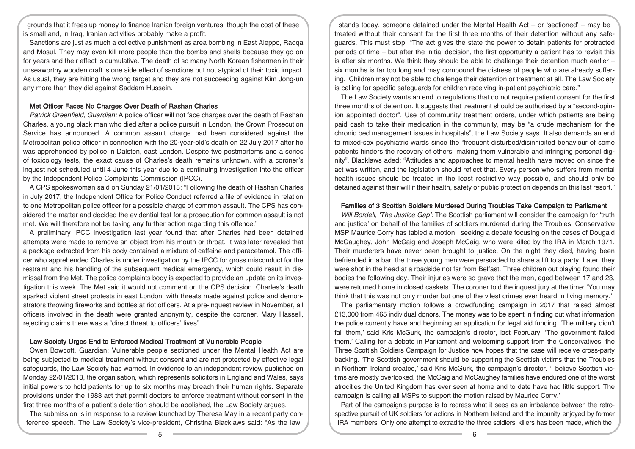grounds that it frees up money to finance Iranian foreign ventures, though the cost of these is small and, in Iraq, Iranian activities probably make a profit.

Sanctions are just as much a collective punishment as area bombing in East Aleppo, Raqqa and Mosul. They may even kill more people than the bombs and shells because they go on for years and their effect is cumulative. The death of so many North Korean fishermen in their unseaworthy wooden craft is one side effect of sanctions but not atypical of their toxic impact. As usual, they are hitting the wrong target and they are not succeeding against Kim Jong-un any more than they did against Saddam Hussein.

#### Met Officer Faces No Charges Over Death of Rashan Charles

Patrick Greenfield, Guardian: A police officer will not face charges over the death of Rashan Charles, a young black man who died after a police pursuit in London, the Crown Prosecution Service has announced. A common assault charge had been considered against the Metropolitan police officer in connection with the 20-year-old's death on 22 July 2017 after he was apprehended by police in Dalston, east London. Despite two postmortems and a series of toxicology tests, the exact cause of Charles's death remains unknown, with a coroner's inquest not scheduled until 4 June this year due to a continuing investigation into the officer by the Independent Police Complaints Commission (IPCC).

A CPS spokeswoman said on Sunday 21/01/2018: "Following the death of Rashan Charles in July 2017, the Independent Office for Police Conduct referred a file of evidence in relation to one Metropolitan police officer for a possible charge of common assault. The CPS has considered the matter and decided the evidential test for a prosecution for common assault is not met. We will therefore not be taking any further action regarding this offence."

A preliminary IPCC investigation last year found that after Charles had been detained attempts were made to remove an object from his mouth or throat. It was later revealed that a package extracted from his body contained a mixture of caffeine and paracetamol. The officer who apprehended Charles is under investigation by the IPCC for gross misconduct for the restraint and his handling of the subsequent medical emergency, which could result in dismissal from the Met. The police complaints body is expected to provide an update on its investigation this week. The Met said it would not comment on the CPS decision. Charles's death sparked violent street protests in east London, with threats made against police and demonstrators throwing fireworks and bottles at riot officers. At a pre-inquest review in November, all officers involved in the death were granted anonymity, despite the coroner, Mary Hassell, rejecting claims there was a "direct threat to officers' lives".

#### Law Society Urges End to Enforced Medical Treatment of Vulnerable People

Owen Bowcott, Guardian: Vulnerable people sectioned under the Mental Health Act are being subjected to medical treatment without consent and are not protected by effective legal safeguards, the Law Society has warned. In evidence to an independent review published on Monday 22/01/2018, the organisation, which represents solicitors in England and Wales, says initial powers to hold patients for up to six months may breach their human rights. Separate provisions under the 1983 act that permit doctors to enforce treatment without consent in the first three months of a patient's detention should be abolished, the Law Society argues.

The submission is in response to a review launched by Theresa May in a recent party conference speech. The Law Society's vice-president, Christina Blacklaws said: "As the law

stands today, someone detained under the Mental Health Act – or 'sectioned' – may be treated without their consent for the first three months of their detention without any safeguards. This must stop. "The act gives the state the power to detain patients for protracted periods of time – but after the initial decision, the first opportunity a patient has to revisit this is after six months. We think they should be able to challenge their detention much earlier  $$ six months is far too long and may compound the distress of people who are already suffering. Children may not be able to challenge their detention or treatment at all. The Law Society is calling for specific safeguards for children receiving in-patient psychiatric care."

The Law Society wants an end to regulations that do not require patient consent for the first three months of detention. It suggests that treatment should be authorised by a "second-opinion appointed doctor". Use of community treatment orders, under which patients are being paid cash to take their medication in the community, may be "a crude mechanism for the chronic bed management issues in hospitals", the Law Society says. It also demands an end to mixed-sex psychiatric wards since the "frequent disturbed/disinhibited behaviour of some patients hinders the recovery of others, making them vulnerable and infringing personal dignity". Blacklaws aded: "Attitudes and approaches to mental health have moved on since the act was written, and the legislation should reflect that. Every person who suffers from mental health issues should be treated in the least restrictive way possible, and should only be detained against their will if their health, safety or public protection depends on this last resort."

#### Families of 3 Scottish Soldiers Murdered During Troubles Take Campaign to Parliament

Will Bordell, 'The Justice Gap': The Scottish parliament will consider the campaign for 'truth and justice' on behalf of the families of soldiers murdered during the Troubles. Conservative MSP Maurice Corry has tabled a motion seeking a debate focusing on the cases of Dougald McCaughey, John McCaig and Joseph McCaig, who were killed by the IRA in March 1971. Their murderers have never been brought to justice. On the night they died, having been befriended in a bar, the three young men were persuaded to share a lift to a party. Later, they were shot in the head at a roadside not far from Belfast. Three children out playing found their bodies the following day. Their injuries were so grave that the men, aged between 17 and 23, were returned home in closed caskets. The coroner told the inquest jury at the time: 'You may think that this was not only murder but one of the vilest crimes ever heard in living memory.'

The parliamentary motion follows a crowdfunding campaign in 2017 that raised almost £13,000 from 465 individual donors. The money was to be spent in finding out what information the police currently have and beginning an application for legal aid funding. 'The military didn't fail them,' said Kris McGurk, the campaign's director, last February. 'The government failed them.' Calling for a debate in Parliament and welcoming support from the Conservatives, the Three Scottish Soldiers Campaign for Justice now hopes that the case will receive cross-party backing. 'The Scottish government should be supporting the Scottish victims that the Troubles in Northern Ireland created,' said Kris McGurk, the campaign's director. 'I believe Scottish victims are mostly overlooked, the McCaig and McCaughey families have endured one of the worst atrocities the United Kingdom has ever seen at home and to date have had little support. The campaign is calling all MSPs to support the motion raised by Maurice Corry.'

Part of the campaign's purpose is to redress what it sees as an imbalance between the retrospective pursuit of UK soldiers for actions in Northern Ireland and the impunity enjoyed by former IRA members. Only one attempt to extradite the three soldiers' killers has been made, which the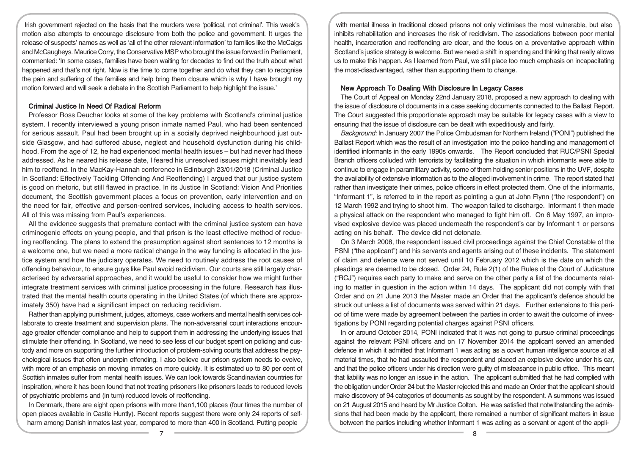Irish government rejected on the basis that the murders were 'political, not criminal'. This week's motion also attempts to encourage disclosure from both the police and government. It urges the release of suspects' names as well as 'all of the other relevant information' to families like the McCaigs and McCaugheys. Maurice Corry, the Conservative MSP who brought the issue forward in Parliament, commented: 'In some cases, families have been waiting for decades to find out the truth about what happened and that's not right. Now is the time to come together and do what they can to recognise the pain and suffering of the families and help bring them closure which is why I have brought my motion forward and will seek a debate in the Scottish Parliament to help highlight the issue.'

## Criminal Justice In Need Of Radical Reform

Professor Ross Deuchar looks at some of the key problems with Scotland's criminal justice system. I recently interviewed a young prison inmate named Paul, who had been sentenced for serious assault. Paul had been brought up in a socially deprived neighbourhood just outside Glasgow, and had suffered abuse, neglect and household dysfunction during his childhood. From the age of 12, he had experienced mental health issues – but had never had these addressed. As he neared his release date, I feared his unresolved issues might inevitably lead him to reoffend. In the MacKay-Hannah conference in Edinburgh 23/01/2018 (Criminal Justice In Scotland: Effectively Tackling Offending And Reoffending) I argued that our justice system is good on rhetoric, but still flawed in practice. In its Justice In Scotland: Vision And Priorities document, the Scottish government places a focus on prevention, early intervention and on the need for fair, effective and person-centred services, including access to health services. All of this was missing from Paul's experiences.

All the evidence suggests that premature contact with the criminal justice system can have criminogenic effects on young people, and that prison is the least effective method of reducing reoffending. The plans to extend the presumption against short sentences to 12 months is a welcome one, but we need a more radical change in the way funding is allocated in the justice system and how the judiciary operates. We need to routinely address the root causes of offending behaviour, to ensure guys like Paul avoid recidivism. Our courts are still largely characterised by adversarial approaches, and it would be useful to consider how we might further integrate treatment services with criminal justice processing in the future. Research has illustrated that the mental health courts operating in the United States (of which there are approximately 350) have had a significant impact on reducing recidivism.

Rather than applying punishment, judges, attorneys, case workers and mental health services collaborate to create treatment and supervision plans. The non-adversarial court interactions encourage greater offender compliance and help to support them in addressing the underlying issues that stimulate their offending. In Scotland, we need to see less of our budget spent on policing and custody and more on supporting the further introduction of problem-solving courts that address the psychological issues that often underpin offending. I also believe our prison system needs to evolve, with more of an emphasis on moving inmates on more quickly. It is estimated up to 80 per cent of Scottish inmates suffer from mental health issues. We can look towards Scandinavian countries for inspiration, where it has been found that not treating prisoners like prisoners leads to reduced levels of psychiatric problems and (in turn) reduced levels of reoffending.

In Denmark, there are eight open prisons with more than1,100 places (four times the number of open places available in Castle Huntly). Recent reports suggest there were only 24 reports of selfharm among Danish inmates last year, compared to more than 400 in Scotland. Putting people

with mental illness in traditional closed prisons not only victimises the most vulnerable, but also inhibits rehabilitation and increases the risk of recidivism. The associations between poor mental health, incarceration and reoffending are clear, and the focus on a preventative approach within Scotland's justice strategy is welcome. But we need a shift in spending and thinking that really allows us to make this happen. As I learned from Paul, we still place too much emphasis on incapacitating the most-disadvantaged, rather than supporting them to change.

## New Approach To Dealing With Disclosure In Legacy Cases

The Court of Appeal on Monday 22nd January 2018, proposed a new approach to dealing with the issue of disclosure of documents in a case seeking documents connected to the Ballast Report. The Court suggested this proportionate approach may be suitable for legacy cases with a view to ensuring that the issue of disclosure can be dealt with expeditiously and fairly.

Background: In January 2007 the Police Ombudsman for Northern Ireland ("PONI") published the Ballast Report which was the result of an investigation into the police handling and management of identified informants in the early 1990s onwards. The Report concluded that RUC/PSNI Special Branch officers colluded with terrorists by facilitating the situation in which informants were able to continue to engage in paramilitary activity, some of them holding senior positions in the UVF, despite the availability of extensive information as to the alleged involvement in crime. The report stated that rather than investigate their crimes, police officers in effect protected them. One of the informants, "Informant 1", is referred to in the report as pointing a gun at John Flynn ("the respondent") on 12 March 1992 and trying to shoot him. The weapon failed to discharge. Informant 1 then made a physical attack on the respondent who managed to fight him off. On 6 May 1997, an improvised explosive device was placed underneath the respondent's car by Informant 1 or persons acting on his behalf. The device did not detonate.

On 3 March 2008, the respondent issued civil proceedings against the Chief Constable of the PSNI ("the applicant") and his servants and agents arising out of these incidents. The statement of claim and defence were not served until 10 February 2012 which is the date on which the pleadings are deemed to be closed. Order 24, Rule 2(1) of the Rules of the Court of Judicature ("RCJ") requires each party to make and serve on the other party a list of the documents relating to matter in question in the action within 14 days. The applicant did not comply with that Order and on 21 June 2013 the Master made an Order that the applicant's defence should be struck out unless a list of documents was served within 21 days. Further extensions to this period of time were made by agreement between the parties in order to await the outcome of investigations by PONI regarding potential charges against PSNI officers.

In or around October 2014, PONI indicated that it was not going to pursue criminal proceedings against the relevant PSNI officers and on 17 November 2014 the applicant served an amended defence in which it admitted that Informant 1 was acting as a covert human intelligence source at all material times, that he had assaulted the respondent and placed an explosive device under his car, and that the police officers under his direction were guilty of misfeasance in public office. This meant that liability was no longer an issue in the action. The applicant submitted that he had complied with the obligation under Order 24 but the Master rejected this and made an Order that the applicant should make discovery of 94 categories of documents as sought by the respondent. A summons was issued on 21 August 2015 and heard by Mr Justice Colton. He was satisfied that notwithstanding the admissions that had been made by the applicant, there remained a number of significant matters in issue between the parties including whether Informant 1 was acting as a servant or agent of the appli-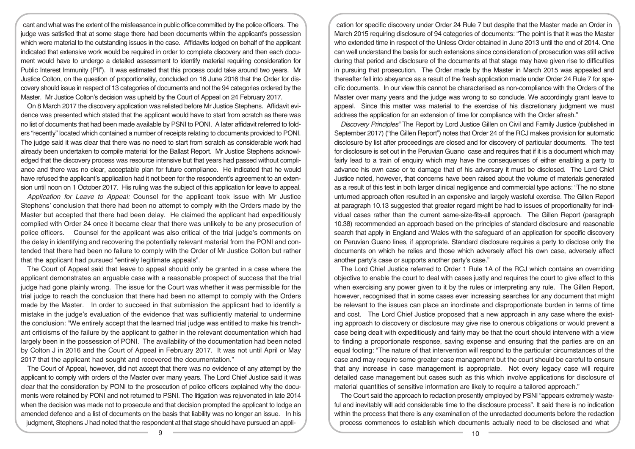cant and what was the extent of the misfeasance in public office committed by the police officers. The judge was satisfied that at some stage there had been documents within the applicant's possession which were material to the outstanding issues in the case. Affidavits lodged on behalf of the applicant indicated that extensive work would be required in order to complete discovery and then each document would have to undergo a detailed assessment to identify material requiring consideration for Public Interest Immunity (PII"). It was estimated that this process could take around two years. Mr Justice Colton, on the question of proportionality, concluded on 16 June 2016 that the Order for discovery should issue in respect of 13 categories of documents and not the 94 categories ordered by the Master. Mr Justice Colton's decision was upheld by the Court of Appeal on 24 February 2017.

On 8 March 2017 the discovery application was relisted before Mr Justice Stephens. Affidavit evidence was presented which stated that the applicant would have to start from scratch as there was no list of documents that had been made available by PSNI to PONI. A later affidavit referred to folders "recently" located which contained a number of receipts relating to documents provided to PONI. The judge said it was clear that there was no need to start from scratch as considerable work had already been undertaken to compile material for the Ballast Report. Mr Justice Stephens acknowledged that the discovery process was resource intensive but that years had passed without compliance and there was no clear, acceptable plan for future compliance. He indicated that he would have refused the applicant's application had it not been for the respondent's agreement to an extension until noon on 1 October 2017. His ruling was the subject of this application for leave to appeal.

Application for Leave to Appeal: Counsel for the applicant took issue with Mr Justice Stephens' conclusion that there had been no attempt to comply with the Orders made by the Master but accepted that there had been delay. He claimed the applicant had expeditiously complied with Order 24 once it became clear that there was unlikely to be any prosecution of police officers. Counsel for the applicant was also critical of the trial judge's comments on the delay in identifying and recovering the potentially relevant material from the PONI and contended that there had been no failure to comply with the Order of Mr Justice Colton but rather that the applicant had pursued "entirely legitimate appeals".

The Court of Appeal said that leave to appeal should only be granted in a case where the applicant demonstrates an arguable case with a reasonable prospect of success that the trial judge had gone plainly wrong. The issue for the Court was whether it was permissible for the trial judge to reach the conclusion that there had been no attempt to comply with the Orders made by the Master. In order to succeed in that submission the applicant had to identify a mistake in the judge's evaluation of the evidence that was sufficiently material to undermine the conclusion: "We entirely accept that the learned trial judge was entitled to make his trenchant criticisms of the failure by the applicant to gather in the relevant documentation which had largely been in the possession of PONI. The availability of the documentation had been noted by Colton J in 2016 and the Court of Appeal in February 2017. It was not until April or May 2017 that the applicant had sought and recovered the documentation."

The Court of Appeal, however, did not accept that there was no evidence of any attempt by the applicant to comply with orders of the Master over many years. The Lord Chief Justice said it was clear that the consideration by PONI to the prosecution of police officers explained why the documents were retained by PONI and not returned to PSNI. The litigation was rejuvenated in late 2014 when the decision was made not to prosecute and that decision prompted the applicant to lodge an amended defence and a list of documents on the basis that liability was no longer an issue. In his judgment, Stephens J had noted that the respondent at that stage should have pursued an appli-

cation for specific discovery under Order 24 Rule 7 but despite that the Master made an Order in March 2015 requiring disclosure of 94 categories of documents: "The point is that it was the Master who extended time in respect of the Unless Order obtained in June 2013 until the end of 2014. One can well understand the basis for such extensions since consideration of prosecution was still active during that period and disclosure of the documents at that stage may have given rise to difficulties in pursuing that prosecution. The Order made by the Master in March 2015 was appealed and thereafter fell into abeyance as a result of the fresh application made under Order 24 Rule 7 for specific documents. In our view this cannot be characterised as non-compliance with the Orders of the Master over many years and the judge was wrong to so conclude. We accordingly grant leave to appeal. Since this matter was material to the exercise of his discretionary judgment we must address the application for an extension of time for compliance with the Order afresh."

Discovery Principles" The Report by Lord Justice Gillen on Civil and Family Justice (published in September 2017) ("the Gillen Report") notes that Order 24 of the RCJ makes provision for automatic disclosure by list after proceedings are closed and for discovery of particular documents. The test for disclosure is set out in the Peruvian Guano case and requires that if it is a document which may fairly lead to a train of enquiry which may have the consequences of either enabling a party to advance his own case or to damage that of his adversary it must be disclosed. The Lord Chief Justice noted, however, that concerns have been raised about the volume of materials generated as a result of this test in both larger clinical negligence and commercial type actions: "The no stone unturned approach often resulted in an expensive and largely wasteful exercise. The Gillen Report at paragraph 10.13 suggested that greater regard might be had to issues of proportionality for individual cases rather than the current same-size-fits-all approach. The Gillen Report (paragraph 10.38) recommended an approach based on the principles of standard disclosure and reasonable search that apply in England and Wales with the safeguard of an application for specific discovery on Peruvian Guano lines, if appropriate. Standard disclosure requires a party to disclose only the documents on which he relies and those which adversely affect his own case, adversely affect another party's case or supports another party's case."

The Lord Chief Justice referred to Order 1 Rule 1A of the RCJ which contains an overriding objective to enable the court to deal with cases justly and requires the court to give effect to this when exercising any power given to it by the rules or interpreting any rule. The Gillen Report, however, recognised that in some cases ever increasing searches for any document that might be relevant to the issues can place an inordinate and disproportionate burden in terms of time and cost. The Lord Chief Justice proposed that a new approach in any case where the existing approach to discovery or disclosure may give rise to onerous obligations or would prevent a case being dealt with expeditiously and fairly may be that the court should intervene with a view to finding a proportionate response, saving expense and ensuring that the parties are on an equal footing: "The nature of that intervention will respond to the particular circumstances of the case and may require some greater case management but the court should be careful to ensure that any increase in case management is appropriate. Not every legacy case will require detailed case management but cases such as this which involve applications for disclosure of material quantities of sensitive information are likely to require a tailored approach."

The Court said the approach to redaction presently employed by PSNI "appears extremely wasteful and inevitably will add considerable time to the disclosure process". It said there is no indication within the process that there is any examination of the unredacted documents before the redaction process commences to establish which documents actually need to be disclosed and what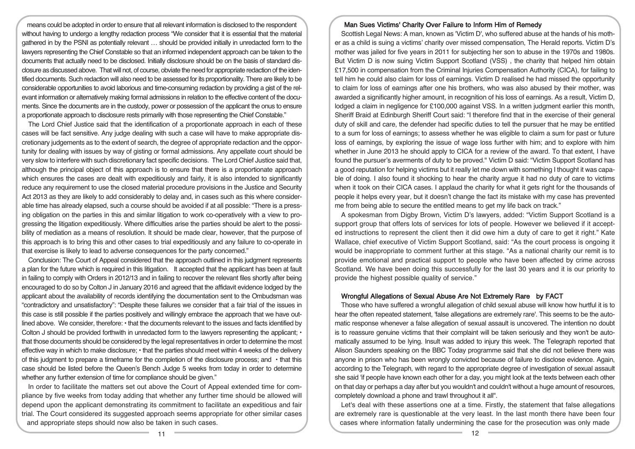means could be adopted in order to ensure that all relevant information is disclosed to the respondent without having to undergo a lengthy redaction process "We consider that it is essential that the material gathered in by the PSNI as potentially relevant … should be provided initially in unredacted form to the lawyers representing the Chief Constable so that an informed independent approach can be taken to the documents that actually need to be disclosed. Initially disclosure should be on the basis of standard disclosure as discussed above. That will not, of course, obviate the need for appropriate redaction of the identified documents. Such redaction will also need to be assessed for its proportionality. There are likely to be considerable opportunities to avoid laborious and time-consuming redaction by providing a gist of the relevant information or alternatively making formal admissions in relation to the effective content of the documents. Since the documents are in the custody, power or possession of the applicant the onus to ensure a proportionate approach to disclosure rests primarily with those representing the Chief Constable."

The Lord Chief Justice said that the identification of a proportionate approach in each of these cases will be fact sensitive. Any judge dealing with such a case will have to make appropriate discretionary judgements as to the extent of search, the degree of appropriate redaction and the opportunity for dealing with issues by way of gisting or formal admissions. Any appellate court should be very slow to interfere with such discretionary fact specific decisions. The Lord Chief Justice said that, although the principal object of this approach is to ensure that there is a proportionate approach which ensures the cases are dealt with expeditiously and fairly, it is also intended to significantly reduce any requirement to use the closed material procedure provisions in the Justice and Security Act 2013 as they are likely to add considerably to delay and, in cases such as this where considerable time has already elapsed, such a course should be avoided if at all possible: "There is a pressing obligation on the parties in this and similar litigation to work co-operatively with a view to progressing the litigation expeditiously. Where difficulties arise the parties should be alert to the possibility of mediation as a means of resolution. It should be made clear, however, that the purpose of this approach is to bring this and other cases to trial expeditiously and any failure to co-operate in that exercise is likely to lead to adverse consequences for the party concerned."

Conclusion: The Court of Appeal considered that the approach outlined in this judgment represents a plan for the future which is required in this litigation. It accepted that the applicant has been at fault in failing to comply with Orders in 2012/13 and in failing to recover the relevant files shortly after being encouraged to do so by Colton J in January 2016 and agreed that the affidavit evidence lodged by the applicant about the availability of records identifying the documentation sent to the Ombudsman was "contradictory and unsatisfactory": "Despite these failures we consider that a fair trial of the issues in this case is still possible if the parties positively and willingly embrace the approach that we have outlined above. We consider, therefore: • that the documents relevant to the issues and facts identified by Colton J should be provided forthwith in unredacted form to the lawyers representing the applicant; • that those documents should be considered by the legal representatives in order to determine the most effective way in which to make disclosure; • that the parties should meet within 4 weeks of the delivery of this judgment to prepare a timeframe for the completion of the disclosure process; and • that this case should be listed before the Queen's Bench Judge 5 weeks from today in order to determine whether any further extension of time for compliance should be given."

In order to facilitate the matters set out above the Court of Appeal extended time for compliance by five weeks from today adding that whether any further time should be allowed will depend upon the applicant demonstrating its commitment to facilitate an expeditious and fair trial. The Court considered its suggested approach seems appropriate for other similar cases and appropriate steps should now also be taken in such cases.

#### Man Sues Victims' Charity Over Failure to Inform Him of Remedy

Scottish Legal News: A man, known as 'Victim D', who suffered abuse at the hands of his mother as a child is suing a victims' charity over missed compensation, The Herald reports. Victim D's mother was jailed for five years in 2011 for subjecting her son to abuse in the 1970s and 1980s. But Victim D is now suing Victim Support Scotland (VSS) , the charity that helped him obtain £17,500 in compensation from the Criminal Injuries Compensation Authority (CICA), for failing to tell him he could also claim for loss of earnings. Victim D realised he had missed the opportunity to claim for loss of earnings after one his brothers, who was also abused by their mother, was awarded a significantly higher amount, in recognition of his loss of earnings. As a result, Victim D, lodged a claim in negligence for £100,000 against VSS. In a written judgment earlier this month, Sheriff Braid at Edinburgh Sheriff Court said: "I therefore find that in the exercise of their general duty of skill and care, the defender had specific duties to tell the pursuer that he may be entitled to a sum for loss of earnings; to assess whether he was eligible to claim a sum for past or future loss of earnings, by exploring the issue of wage loss further with him; and to explore with him whether in June 2013 he should apply to CICA for a review of the award. To that extent, I have found the pursuer's averments of duty to be proved." Victim D said: "Victim Support Scotland has a good reputation for helping victims but it really let me down with something I thought it was capable of doing. I also found it shocking to hear the charity argue it had no duty of care to victims when it took on their CICA cases. I applaud the charity for what it gets right for the thousands of people it helps every year, but it doesn't change the fact its mistake with my case has prevented me from being able to secure the entitled means to get my life back on track."

A spokesman from Digby Brown, Victim D's lawyers, added: "Victim Support Scotland is a support group that offers lots of services for lots of people. However we believed if it accepted instructions to represent the client then it did owe him a duty of care to get it right." Kate Wallace, chief executive of Victim Support Scotland, said: "As the court process is ongoing it would be inappropriate to comment further at this stage. "As a national charity our remit is to provide emotional and practical support to people who have been affected by crime across Scotland. We have been doing this successfully for the last 30 years and it is our priority to provide the highest possible quality of service."

## Wrongful Allegations of Sexual Abuse Are Not Extremely Rare by FACT

Those who have suffered a wrongful allegation of child sexual abuse will know how hurtful it is to hear the often repeated statement, 'false allegations are extremely rare'. This seems to be the automatic response whenever a false allegation of sexual assault is uncovered. The intention no doubt is to reassure genuine victims that their complaint will be taken seriously and they won't be automatically assumed to be lying. Insult was added to injury this week. The Telegraph reported that Alison Saunders speaking on the BBC Today programme said that she did not believe there was anyone in prison who has been wrongly convicted because of failure to disclose evidence. Again, according to the Telegraph, with regard to the appropriate degree of investigation of sexual assault she said 'if people have known each other for a day, you might look at the texts between each other on that day or perhaps a day after but you wouldn't and couldn't without a huge amount of resources, completely download a phone and trawl throughout it all".

Let's deal with these assertions one at a time. Firstly, the statement that false allegations are extremely rare is questionable at the very least. In the last month there have been four cases where information fatally undermining the case for the prosecution was only made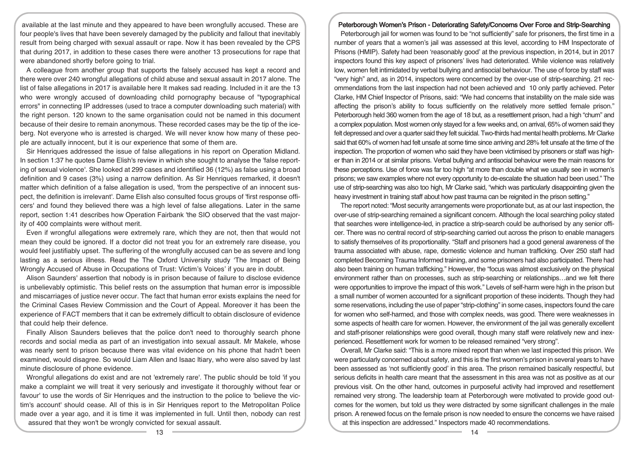available at the last minute and they appeared to have been wrongfully accused. These are four people's lives that have been severely damaged by the publicity and fallout that inevitably result from being charged with sexual assault or rape. Now it has been revealed by the CPS that during 2017, in addition to these cases there were another 13 prosecutions for rape that were abandoned shortly before going to trial.

A colleague from another group that supports the falsely accused has kept a record and there were over 240 wrongful allegations of child abuse and sexual assault in 2017 alone. The list of false allegations in 2017 is available here It makes sad reading. Included in it are the 13 who were wrongly accused of downloading child pornography because of "typographical errors" in connecting IP addresses (used to trace a computer downloading such material) with the right person. 120 known to the same organisation could not be named in this document because of their desire to remain anonymous. These recorded cases may be the tip of the iceberg. Not everyone who is arrested is charged. We will never know how many of these people are actually innocent, but it is our experience that some of them are.

Sir Henriques addressed the issue of false allegations in his report on Operation Midland. In section 1:37 he quotes Dame Elish's review in which she sought to analyse the 'false reporting of sexual violence'. She looked at 299 cases and identified 36 (12%) as false using a broad definition and 9 cases (3%) using a narrow definition. As Sir Henriques remarked, it doesn't matter which definition of a false allegation is used, 'from the perspective of an innocent suspect, the definition is irrelevant'. Dame Elish also consulted focus groups of 'first response officers' and found they believed there was a high level of false allegations. Later in the same report, section 1:41 describes how Operation Fairbank 'the SIO observed that the vast majority of 400 complaints were without merit.

Even if wrongful allegations were extremely rare, which they are not, then that would not mean they could be ignored. If a doctor did not treat you for an extremely rare disease, you would feel justifiably upset. The suffering of the wrongfully accused can be as severe and long lasting as a serious illness. Read the The Oxford University study 'The Impact of Being Wrongly Accused of Abuse in Occupations of Trust: Victim's Voices' if you are in doubt.

Alison Saunders' assertion that nobody is in prison because of failure to disclose evidence is unbelievably optimistic. This belief rests on the assumption that human error is impossible and miscarriages of justice never occur. The fact that human error exists explains the need for the Criminal Cases Review Commission and the Court of Appeal. Moreover it has been the experience of FACT members that it can be extremely difficult to obtain disclosure of evidence that could help their defence.

Finally Alison Saunders believes that the police don't need to thoroughly search phone records and social media as part of an investigation into sexual assault. Mr Makele, whose was nearly sent to prison because there was vital evidence on his phone that hadn't been examined, would disagree. So would Liam Allen and Isaac Itiary, who were also saved by last minute disclosure of phone evidence.

Wrongful allegations do exist and are not 'extremely rare'. The public should be told 'if you make a complaint we will treat it very seriously and investigate it thoroughly without fear or favour' to use the words of Sir Henriques and the instruction to the police to 'believe the victim's account' should cease. All of this is in Sir Henriques report to the Metropolitan Police made over a year ago, and it is time it was implemented in full. Until then, nobody can rest assured that they won't be wrongly convicted for sexual assault.

## Peterborough Women's Prison - Deteriorating Safety/Concerns Over Force and Strip-Searching

Peterborough jail for women was found to be "not sufficiently" safe for prisoners, the first time in a number of years that a women's jail was assessed at this level, according to HM Inspectorate of Prisons (HMIP). Safety had been 'reasonably good' at the previous inspection, in 2014, but in 2017 inspectors found this key aspect of prisoners' lives had deteriorated. While violence was relatively low, women felt intimidated by verbal bullying and antisocial behaviour. The use of force by staff was "very high" and, as in 2014, inspectors were concerned by the over-use of strip-searching. 21 recommendations from the last inspection had not been achieved and 10 only partly achieved. Peter Clarke, HM Chief Inspector of Prisons, said: "We had concerns that instability on the male side was affecting the prison's ability to focus sufficiently on the relatively more settled female prison." Peterborough held 360 women from the age of 18 but, as a resettlement prison, had a high "churn" and a complex population. Most women only stayed for a few weeks and, on arrival, 65% of women said they felt depressed and over a quarter said they felt suicidal. Two-thirds had mental health problems. Mr Clarke said that 60% of women had felt unsafe at some time since arriving and 28% felt unsafe at the time of the inspection. The proportion of women who said they have been victimised by prisoners or staff was higher than in 2014 or at similar prisons. Verbal bullying and antisocial behaviour were the main reasons for these perceptions. Use of force was far too high "at more than double what we usually see in women's prisons; we saw examples where not every opportunity to de-escalate the situation had been used." The use of strip-searching was also too high, Mr Clarke said, "which was particularly disappointing given the heavy investment in training staff about how past trauma can be reignited in the prison setting."

The report noted: "Most security arrangements were proportionate but, as at our last inspection, the over-use of strip-searching remained a significant concern. Although the local searching policy stated that searches were intelligence-led, in practice a strip-search could be authorised by any senior officer. There was no central record of strip-searching carried out across the prison to enable managers to satisfy themselves of its proportionality. "Staff and prisoners had a good general awareness of the trauma associated with abuse, rape, domestic violence and human trafficking. Over 250 staff had completed Becoming Trauma Informed training, and some prisoners had also participated. There had also been training on human trafficking." However, the "focus was almost exclusively on the physical environment rather than on processes, such as strip-searching or relationships…and we felt there were opportunities to improve the impact of this work." Levels of self-harm were high in the prison but a small number of women accounted for a significant proportion of these incidents. Though they had some reservations, including the use of paper "strip-clothing" in some cases, inspectors found the care for women who self-harmed, and those with complex needs, was good. There were weaknesses in some aspects of health care for women. However, the environment of the jail was generally excellent and staff-prisoner relationships were good overall, though many staff were relatively new and inexperienced. Resettlement work for women to be released remained "very strong".

Overall, Mr Clarke said: "This is a more mixed report than when we last inspected this prison. We were particularly concerned about safety, and this is the first women's prison in several years to have been assessed as 'not sufficiently good' in this area. The prison remained basically respectful, but serious deficits in health care meant that the assessment in this area was not as positive as at our previous visit. On the other hand, outcomes in purposeful activity had improved and resettlement remained very strong. The leadership team at Peterborough were motivated to provide good outcomes for the women, but told us they were distracted by some significant challenges in the male prison. A renewed focus on the female prison is now needed to ensure the concerns we have raised at this inspection are addressed." Inspectors made 40 recommendations.